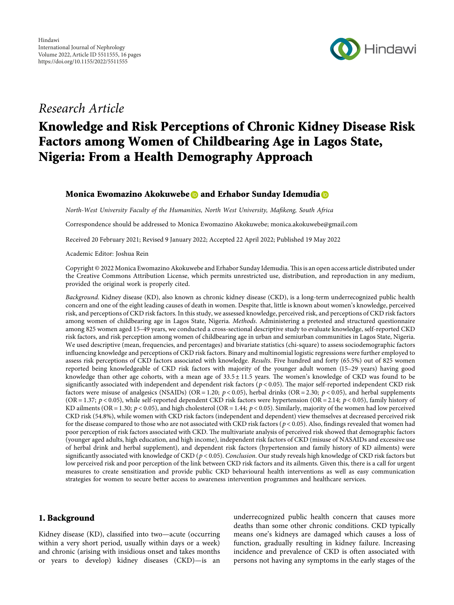

# Research Article

# Knowledge and Risk Perceptions of Chronic Kidney Disease Risk Factors among Women of Childbearing Age in Lagos State, Nigeria: From a Health Demography Approach

#### Monica Ewomazino Akokuwebe and Erhabor Sunday Idemudia **D**

North-West University Faculty of the Humanities, North West University, Mafikeng, South Africa

Correspondence should be addressed to Monica Ewomazino Akokuwebe; [monica.akokuwebe@gmail.com](mailto:monica.akokuwebe@gmail.com)

Received 20 February 2021; Revised 9 January 2022; Accepted 22 April 2022; Published 19 May 2022

Academic Editor: Joshua Rein

Copyright © 2022 Monica Ewomazino Akokuwebe and Erhabor Sunday Idemudia. This is an open access article distributed under the [Creative Commons Attribution License,](https://creativecommons.org/licenses/by/4.0/) which permits unrestricted use, distribution, and reproduction in any medium, provided the original work is properly cited.

Background. Kidney disease (KD), also known as chronic kidney disease (CKD), is a long-term underrecognized public health concern and one of the eight leading causes of death in women. Despite that, little is known about women's knowledge, perceived risk, and perceptions of CKD risk factors. In this study, we assessed knowledge, perceived risk, and perceptions of CKD risk factors among women of childbearing age in Lagos State, Nigeria. Methods. Administering a pretested and structured questionnaire among 825 women aged 15–49 years, we conducted a cross-sectional descriptive study to evaluate knowledge, self-reported CKD risk factors, and risk perception among women of childbearing age in urban and semiurban communities in Lagos State, Nigeria. We used descriptive (mean, frequencies, and percentages) and bivariate statistics (chi-square) to assess sociodemographic factors influencing knowledge and perceptions of CKD risk factors. Binary and multinomial logistic regressions were further employed to assess risk perceptions of CKD factors associated with knowledge. Results. Five hundred and forty (65.5%) out of 825 women reported being knowledgeable of CKD risk factors with majority of the younger adult women (15–29 years) having good knowledge than other age cohorts, with a mean age of  $33.5 \pm 11.5$  years. The women's knowledge of CKD was found to be significantly associated with independent and dependent risk factors ( $p$  < 0.05). The major self-reported independent CKD risk factors were misuse of analgesics (NSAIDs) (OR = 1.20;  $p < 0.05$ ), herbal drinks (OR = 2.30;  $p < 0.05$ ), and herbal supplements (OR = 1.37;  $p$  < 0.05), while self-reported dependent CKD risk factors were hypertension (OR = 2.14;  $p$  < 0.05), family history of KD ailments (OR = 1.30;  $p < 0.05$ ), and high cholesterol (OR = 1.44;  $p < 0.05$ ). Similarly, majority of the women had low perceived CKD risk (54.8%), while women with CKD risk factors (independent and dependent) view themselves at decreased perceived risk for the disease compared to those who are not associated with CKD risk factors ( $p$  < 0.05). Also, findings revealed that women had poor perception of risk factors associated with CKD. The multivariate analysis of perceived risk showed that demographic factors (younger aged adults, high education, and high income), independent risk factors of CKD (misuse of NASAIDs and excessive use of herbal drink and herbal supplement), and dependent risk factors (hypertension and family history of KD ailments) were significantly associated with knowledge of CKD ( $p$  < 0.05). Conclusion. Our study reveals high knowledge of CKD risk factors but low perceived risk and poor perception of the link between CKD risk factors and its ailments. Given this, there is a call for urgent measures to create sensitization and provide public CKD behavioural health interventions as well as easy communication strategies for women to secure better access to awareness intervention programmes and healthcare services.

#### 1. Background

Kidney disease (KD), classified into two—acute (occurring within a very short period, usually within days or a week) and chronic (arising with insidious onset and takes months or years to develop) kidney diseases (CKD)—is an

underrecognized public health concern that causes more deaths than some other chronic conditions. CKD typically means one's kidneys are damaged which causes a loss of function, gradually resulting in kidney failure. Increasing incidence and prevalence of CKD is often associated with persons not having any symptoms in the early stages of the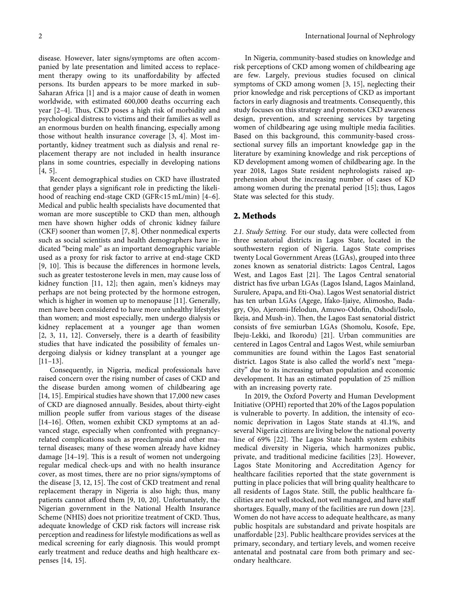disease. However, later signs/symptoms are often accompanied by late presentation and limited access to replacement therapy owing to its unaffordability by affected persons. Its burden appears to be more marked in sub-Saharan Africa [\[1\]](#page-13-0) and is a major cause of death in women worldwide, with estimated 600,000 deaths occurring each year  $[2-4]$  $[2-4]$  $[2-4]$  $[2-4]$  $[2-4]$ . Thus, CKD poses a high risk of morbidity and psychological distress to victims and their families as well as an enormous burden on health financing, especially among those without health insurance coverage [\[3](#page-13-0), [4](#page-13-0)]. Most importantly, kidney treatment such as dialysis and renal replacement therapy are not included in health insurance plans in some countries, especially in developing nations [\[4](#page-13-0), [5\]](#page-13-0).

Recent demographical studies on CKD have illustrated that gender plays a significant role in predicting the likelihood of reaching end-stage CKD (GFR<15 mL/min) [[4](#page-13-0)–[6](#page-13-0)]. Medical and public health specialists have documented that woman are more susceptible to CKD than men, although men have shown higher odds of chronic kidney failure (CKF) sooner than women [\[7](#page-13-0), [8](#page-13-0)]. Other nonmedical experts such as social scientists and health demographers have indicated "being male" as an important demographic variable used as a proxy for risk factor to arrive at end-stage CKD [\[9](#page-13-0), [10\]](#page-13-0). This is because the differences in hormone levels, such as greater testosterone levels in men, may cause loss of kidney function [\[11, 12\]](#page-14-0); then again, men's kidneys may perhaps are not being protected by the hormone estrogen, which is higher in women up to menopause [[11\]](#page-14-0). Generally, men have been considered to have more unhealthy lifestyles than women; and most especially, men undergo dialysis or kidney replacement at a younger age than women [\[2](#page-13-0), [3,](#page-13-0) [11](#page-14-0), [12](#page-14-0)]. Conversely, there is a dearth of feasibility studies that have indicated the possibility of females undergoing dialysis or kidney transplant at a younger age [\[11](#page-14-0)–[13](#page-14-0)].

Consequently, in Nigeria, medical professionals have raised concern over the rising number of cases of CKD and the disease burden among women of childbearing age [\[14](#page-14-0), [15](#page-14-0)]. Empirical studies have shown that 17,000 new cases of CKD are diagnosed annually. Besides, about thirty-eight million people suffer from various stages of the disease [\[14](#page-14-0)–[16\]](#page-14-0). Often, women exhibit CKD symptoms at an advanced stage, especially when confronted with pregnancyrelated complications such as preeclampsia and other maternal diseases; many of these women already have kidney damage  $[14–19]$  $[14–19]$ . This is a result of women not undergoing regular medical check-ups and with no health insurance cover, as most times, there are no prior signs/symptoms of the disease [\[3,](#page-13-0) [12](#page-14-0), [15\]](#page-14-0). The cost of CKD treatment and renal replacement therapy in Nigeria is also high; thus, many patients cannot afford them [[9](#page-13-0), [10,](#page-13-0) [20\]](#page-14-0). Unfortunately, the Nigerian government in the National Health Insurance Scheme (NHIS) does not prioritize treatment of CKD. Thus, adequate knowledge of CKD risk factors will increase risk perception and readiness for lifestyle modifications as well as medical screening for early diagnosis. This would prompt early treatment and reduce deaths and high healthcare expenses [\[14](#page-14-0), [15](#page-14-0)].

In Nigeria, community-based studies on knowledge and risk perceptions of CKD among women of childbearing age are few. Largely, previous studies focused on clinical symptoms of CKD among women [[3](#page-13-0), [15\]](#page-14-0), neglecting their prior knowledge and risk perceptions of CKD as important factors in early diagnosis and treatments. Consequently, this study focuses on this strategy and promotes CKD awareness design, prevention, and screening services by targeting women of childbearing age using multiple media facilities. Based on this background, this community-based crosssectional survey fills an important knowledge gap in the literature by examining knowledge and risk perceptions of KD development among women of childbearing age. In the year 2018, Lagos State resident nephrologists raised apprehension about the increasing number of cases of KD among women during the prenatal period [[15\]](#page-14-0); thus, Lagos State was selected for this study.

#### **2. Methods**

*2.1. Study Setting.* For our study, data were collected from three senatorial districts in Lagos State, located in the southwestern region of Nigeria. Lagos State comprises twenty Local Government Areas (LGAs), grouped into three zones known as senatorial districts: Lagos Central, Lagos West, and Lagos East [[21\]](#page-14-0). The Lagos Central senatorial district has five urban LGAs (Lagos Island, Lagos Mainland, Surulere, Apapa, and Eti-Osa). Lagos West senatorial district has ten urban LGAs (Agege, Ifako-Ijaiye, Alimosho, Badagry, Ojo, Ajeromi-Ifelodun, Amuwo-Odofin, Oshodi/Isolo, Ikeja, and Mush-in). Then, the Lagos East senatorial district consists of five semiurban LGAs (Shomolu, Kosofe, Epe, Ibeju-Lekki, and Ikorodu) [[21\]](#page-14-0). Urban communities are centered in Lagos Central and Lagos West, while semiurban communities are found within the Lagos East senatorial district. Lagos State is also called the world's next "megacity" due to its increasing urban population and economic development. It has an estimated population of 25 million with an increasing poverty rate.

In 2019, the Oxford Poverty and Human Development Initiative (OPHI) reported that 20% of the Lagos population is vulnerable to poverty. In addition, the intensity of economic deprivation in Lagos State stands at 41.1%, and several Nigeria citizens are living below the national poverty line of 69% [[22](#page-14-0)]. The Lagos State health system exhibits medical diversity in Nigeria, which harmonizes public, private, and traditional medicine facilities [[23\]](#page-14-0). However, Lagos State Monitoring and Accreditation Agency for healthcare facilities reported that the state government is putting in place policies that will bring quality healthcare to all residents of Lagos State. Still, the public healthcare facilities are not well stocked, not well managed, and have staff shortages. Equally, many of the facilities are run down [[23](#page-14-0)]. Women do not have access to adequate healthcare, as many public hospitals are substandard and private hospitals are unaffordable [\[23\]](#page-14-0). Public healthcare provides services at the primary, secondary, and tertiary levels, and women receive antenatal and postnatal care from both primary and secondary healthcare.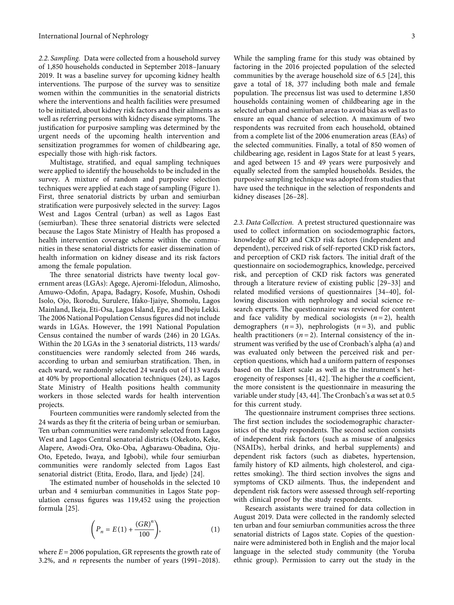*2.2. Sampling.* Data were collected from a household survey of 1,850 households conducted in September 2018–January 2019. It was a baseline survey for upcoming kidney health interventions. The purpose of the survey was to sensitize women within the communities in the senatorial districts where the interventions and health facilities were presumed to be initiated, about kidney risk factors and their ailments as well as referring persons with kidney disease symptoms. The justification for purposive sampling was determined by the urgent needs of the upcoming health intervention and sensitization programmes for women of childbearing age, especially those with high-risk factors.

Multistage, stratified, and equal sampling techniques were applied to identify the households to be included in the survey. A mixture of random and purposive selection techniques were applied at each stage of sampling (Figure [1](#page-3-0)). First, three senatorial districts by urban and semiurban stratification were purposively selected in the survey: Lagos West and Lagos Central (urban) as well as Lagos East (semiurban). These three senatorial districts were selected because the Lagos State Ministry of Health has proposed a health intervention coverage scheme within the communities in these senatorial districts for easier dissemination of health information on kidney disease and its risk factors among the female population.

The three senatorial districts have twenty local government areas (LGAs): Agege, Ajeromi-Ifelodun, Alimosho, Amuwo-Odofin, Apapa, Badagry, Kosofe, Mushin, Oshodi Isolo, Ojo, Ikorodu, Surulere, Ifako-Ijaiye, Shomolu, Lagos Mainland, Ikeja, Eti-Osa, Lagos Island, Epe, and Ibeju Lekki. The 2006 National Population Census figures did not include wards in LGAs. However, the 1991 National Population Census contained the number of wards (246) in 20 LGAs. Within the 20 LGAs in the 3 senatorial districts, 113 wards/ constituencies were randomly selected from 246 wards, according to urban and semiurban stratification. Then, in each ward, we randomly selected 24 wards out of 113 wards at 40% by proportional allocation techniques (24), as Lagos State Ministry of Health positions health community workers in those selected wards for health intervention projects.

Fourteen communities were randomly selected from the 24 wards as they fit the criteria of being urban or semiurban. Ten urban communities were randomly selected from Lagos West and Lagos Central senatorial districts (Okekoto, Keke, Alapere, Awodi-Ora, Oko-Oba, Agbarawu-Obadina, Oju-Oto, Epetedo, Iwaya, and Igbobi), while four semiurban communities were randomly selected from Lagos East senatorial district (Etita, Erodo, Ilara, and Ijede) [\[24\]](#page-14-0).

The estimated number of households in the selected 10 urban and 4 semiurban communities in Lagos State population census figures was 119,452 using the projection formula [[25](#page-14-0)].

$$
\left(P_n = E(1) + \frac{(GR)^n}{100}\right),\tag{1}
$$

where  $E = 2006$  population, GR represents the growth rate of 3.2%, and *n* represents the number of years (1991–2018).

While the sampling frame for this study was obtained by factoring in the 2016 projected population of the selected communities by the average household size of 6.5 [\[24\]](#page-14-0), this gave a total of 18, 377 including both male and female population. The precensus list was used to determine 1,850 households containing women of childbearing age in the selected urban and semiurban areas to avoid bias as well as to ensure an equal chance of selection. A maximum of two respondents was recruited from each household, obtained from a complete list of the 2006 enumeration areas (EAs) of the selected communities. Finally, a total of 850 women of childbearing age, resident in Lagos State for at least 5 years, and aged between 15 and 49 years were purposively and equally selected from the sampled households. Besides, the purposive sampling technique was adopted from studies that have used the technique in the selection of respondents and kidney diseases [[26](#page-14-0)–[28](#page-14-0)].

*2.3. Data Collection.* A pretest structured questionnaire was used to collect information on sociodemographic factors, knowledge of KD and CKD risk factors (independent and dependent), perceived risk of self-reported CKD risk factors, and perception of CKD risk factors. The initial draft of the questionnaire on sociodemographics, knowledge, perceived risk, and perception of CKD risk factors was generated through a literature review of existing public [[29–33\]](#page-14-0) and related modified versions of questionnaires [\[34–](#page-14-0)[40](#page-15-0)], following discussion with nephrology and social science research experts. The questionnaire was reviewed for content and face validity by medical sociologists  $(n = 2)$ , health demographers  $(n=3)$ , nephrologists  $(n=3)$ , and public health practitioners  $(n = 2)$ . Internal consistency of the instrument was verified by the use of Cronbach's alpha (*α*) and was evaluated only between the perceived risk and perception questions, which had a uniform pattern of responses based on the Likert scale as well as the instrument's het-erogeneity of responses [[41, 42\]](#page-15-0). The higher the  $\alpha$  coefficient, the more consistent is the questionnaire in measuring the variable under study [[43](#page-15-0), [44\]](#page-15-0). The Cronbach's *α* was set at 0.5 for this current study.

The questionnaire instrument comprises three sections. The first section includes the sociodemographic characteristics of the study respondents. The second section consists of independent risk factors (such as misuse of analgesics (NSAIDs), herbal drinks, and herbal supplements) and dependent risk factors (such as diabetes, hypertension, family history of KD ailments, high cholesterol, and cigarettes smoking). The third section involves the signs and symptoms of CKD ailments. Thus, the independent and dependent risk factors were assessed through self-reporting with clinical proof by the study respondents.

Research assistants were trained for data collection in August 2019. Data were collected in the randomly selected ten urban and four semiurban communities across the three senatorial districts of Lagos state. Copies of the questionnaire were administered both in English and the major local language in the selected study community (the Yoruba ethnic group). Permission to carry out the study in the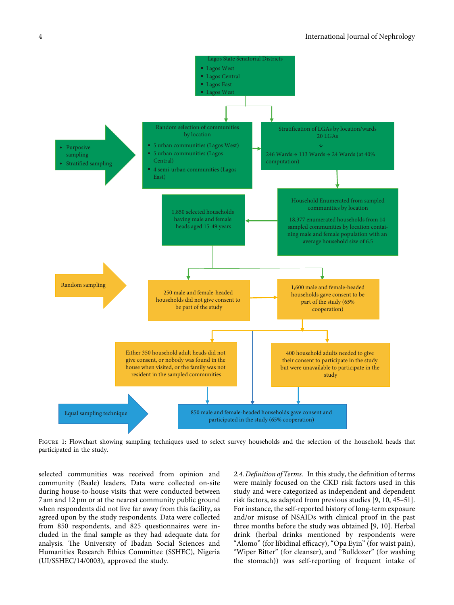<span id="page-3-0"></span>

Figure 1: Flowchart showing sampling techniques used to select survey households and the selection of the household heads that participated in the study.

selected communities was received from opinion and community (Baale) leaders. Data were collected on-site during house-to-house visits that were conducted between 7 am and 12 pm or at the nearest community public ground when respondents did not live far away from this facility, as agreed upon by the study respondents. Data were collected from 850 respondents, and 825 questionnaires were included in the final sample as they had adequate data for analysis. The University of Ibadan Social Sciences and Humanities Research Ethics Committee (SSHEC), Nigeria (UI/SSHEC/14/0003), approved the study.

*2.4. Definition of Terms.* In this study, the definition of terms were mainly focused on the CKD risk factors used in this study and were categorized as independent and dependent risk factors, as adapted from previous studies [[9, 10,](#page-13-0) [45–51](#page-15-0)]. For instance, the self-reported history of long-term exposure and/or misuse of NSAIDs with clinical proof in the past three months before the study was obtained [[9](#page-13-0), [10\]](#page-13-0). Herbal drink (herbal drinks mentioned by respondents were "Alomo" (for libidinal efficacy), "Opa Eyin" (for waist pain), "Wiper Bitter" (for cleanser), and "Bulldozer" (for washing the stomach)) was self-reporting of frequent intake of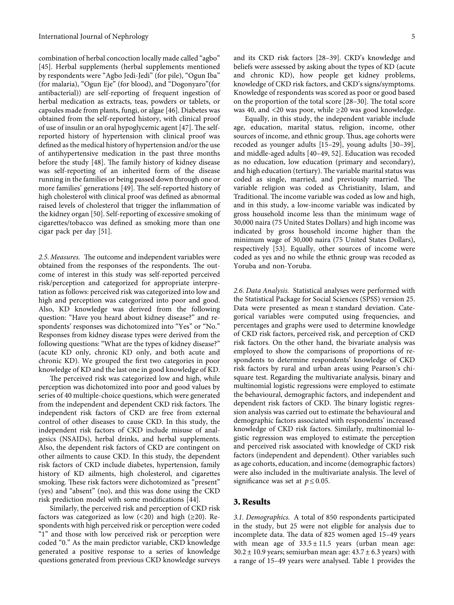combination of herbal concoction locally made called "agbo" [\[45\]](#page-15-0). Herbal supplements (herbal supplements mentioned by respondents were "Agbo Jedi-Jedi" (for pile), "Ogun Iba" (for malaria), "Ogun Eje" (for blood), and "Dogonyaro"(for antibacterial)) are self-reporting of frequent ingestion of herbal medication as extracts, teas, powders or tablets, or capsules made from plants, fungi, or algae [\[46\]](#page-15-0). Diabetes was obtained from the self-reported history, with clinical proof of use of insulin or an oral hypoglycemic agent [\[47\]](#page-15-0). The selfreported history of hypertension with clinical proof was defined as the medical history of hypertension and/or the use of antihypertensive medication in the past three months before the study [\[48\]](#page-15-0). The family history of kidney disease was self-reporting of an inherited form of the disease running in the families or being passed down through one or more families' generations [\[49\]](#page-15-0). The self-reported history of high cholesterol with clinical proof was defined as abnormal raised levels of cholesterol that trigger the inflammation of the kidney organ [\[50\]](#page-15-0). Self-reporting of excessive smoking of cigarettes/tobacco was defined as smoking more than one cigar pack per day [\[51](#page-15-0)].

2.5. Measures. The outcome and independent variables were obtained from the responses of the respondents. The outcome of interest in this study was self-reported perceived risk/perception and categorized for appropriate interpretation as follows: perceived risk was categorized into low and high and perception was categorized into poor and good. Also, KD knowledge was derived from the following question: "Have you heard about kidney disease?" and respondents' responses was dichotomized into "Yes" or "No." Responses from kidney disease types were derived from the following questions: "What are the types of kidney disease?" (acute KD only, chronic KD only, and both acute and chronic KD). We grouped the first two categories in poor knowledge of KD and the last one in good knowledge of KD.

The perceived risk was categorized low and high, while perception was dichotomized into poor and good values by series of 40 multiple-choice questions, which were generated from the independent and dependent CKD risk factors. The independent risk factors of CKD are free from external control of other diseases to cause CKD. In this study, the independent risk factors of CKD include misuse of analgesics (NSAIDs), herbal drinks, and herbal supplements. Also, the dependent risk factors of CKD are contingent on other ailments to cause CKD. In this study, the dependent risk factors of CKD include diabetes, hypertension, family history of KD ailments, high cholesterol, and cigarettes smoking. These risk factors were dichotomized as "present" (yes) and "absent" (no), and this was done using the CKD risk prediction model with some modifications [\[44\]](#page-15-0).

Similarly, the perceived risk and perception of CKD risk factors was categorized as low  $(<20)$  and high  $(\geq 20)$ . Respondents with high perceived risk or perception were coded "1" and those with low perceived risk or perception were coded "0." As the main predictor variable, CKD knowledge generated a positive response to a series of knowledge questions generated from previous CKD knowledge surveys

and its CKD risk factors [\[28–39\]](#page-14-0). CKD's knowledge and beliefs were assessed by asking about the types of KD (acute and chronic KD), how people get kidney problems, knowledge of CKD risk factors, and CKD's signs/symptoms. Knowledge of respondents was scored as poor or good based on the proportion of the total score [28-30]. The total score was 40, and <20 was poor, while  $\geq$ 20 was good knowledge.

Equally, in this study, the independent variable include age, education, marital status, religion, income, other sources of income, and ethnic group. Thus, age cohorts were recoded as younger adults [\[15–29\]](#page-14-0), young adults [\[30–39](#page-14-0)], and middle-aged adults [\[40–49, 52\]](#page-15-0). Education was recoded as no education, low education (primary and secondary), and high education (tertiary). The variable marital status was coded as single, married, and previously married. The variable religion was coded as Christianity, Islam, and Traditional. The income variable was coded as low and high, and in this study, a low-income variable was indicated by gross household income less than the minimum wage of 30,000 naira (75 United States Dollars) and high income was indicated by gross household income higher than the minimum wage of 30,000 naira (75 United States Dollars), respectively [\[53\]](#page-15-0). Equally, other sources of income were coded as yes and no while the ethnic group was recoded as Yoruba and non-Yoruba.

*2.6. Data Analysis.* Statistical analyses were performed with the Statistical Package for Social Sciences (SPSS) version 25. Data were presented as mean ± standard deviation. Categorical variables were computed using frequencies, and percentages and graphs were used to determine knowledge of CKD risk factors, perceived risk, and perception of CKD risk factors. On the other hand, the bivariate analysis was employed to show the comparisons of proportions of respondents to determine respondents' knowledge of CKD risk factors by rural and urban areas using Pearson's chisquare test. Regarding the multivariate analysis, binary and multinomial logistic regressions were employed to estimate the behavioural, demographic factors, and independent and dependent risk factors of CKD. The binary logistic regression analysis was carried out to estimate the behavioural and demographic factors associated with respondents' increased knowledge of CKD risk factors. Similarly, multinomial logistic regression was employed to estimate the perception and perceived risk associated with knowledge of CKD risk factors (independent and dependent). Other variables such as age cohorts, education, and income (demographic factors) were also included in the multivariate analysis. The level of significance was set at  $p \le 0.05$ .

#### **3. Results**

*3.1. Demographics.* A total of 850 respondents participated in the study, but 25 were not eligible for analysis due to incomplete data. The data of 825 women aged 15-49 years with mean age of  $33.5 \pm 11.5$  years (urban mean age:  $30.2 \pm 10.9$  years; semiurban mean age:  $43.7 \pm 6.3$  years) with a range of 15–49 years were analysed. Table [1](#page-5-0) provides the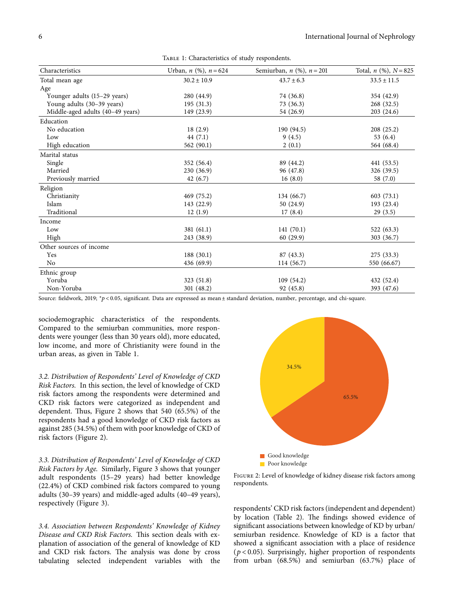<span id="page-5-0"></span>

| Characteristics                  | Urban, <i>n</i> (%), $n = 624$ | Semiurban, $n$ (%), $n = 201$ | Total, $n$ (%), $N = 825$ |
|----------------------------------|--------------------------------|-------------------------------|---------------------------|
| Total mean age                   | $30.2 \pm 10.9$                | $43.7 \pm 6.3$                | $33.5 \pm 11.5$           |
| Age                              |                                |                               |                           |
| Younger adults (15–29 years)     | 280 (44.9)                     | 74 (36.8)                     | 354 (42.9)                |
| Young adults (30-39 years)       | 195(31.3)                      | 73(36.3)                      | 268 (32.5)                |
| Middle-aged adults (40-49 years) | 149 (23.9)                     | 54 (26.9)                     | 203 (24.6)                |
| Education                        |                                |                               |                           |
| No education                     | 18(2.9)                        | 190 (94.5)                    | 208(25.2)                 |
| Low                              | 44(7.1)                        | 9(4.5)                        | 53 $(6.4)$                |
| High education                   | 562 (90.1)                     | 2(0.1)                        | 564 (68.4)                |
| Marital status                   |                                |                               |                           |
| Single                           | 352 (56.4)                     | 89 (44.2)                     | 441 (53.5)                |
| Married                          | 230 (36.9)                     | 96 (47.8)                     | 326 (39.5)                |
| Previously married               | 42(6.7)                        | 16(8.0)                       | 58 (7.0)                  |
| Religion                         |                                |                               |                           |
| Christianity                     | 469 (75.2)                     | 134 (66.7)                    | 603(73.1)                 |
| Islam                            | 143 (22.9)                     | 50(24.9)                      | 193 (23.4)                |
| Traditional                      | 12(1.9)                        | 17(8.4)                       | 29(3.5)                   |
| Income                           |                                |                               |                           |
| Low                              | 381 (61.1)                     | 141(70.1)                     | 522 (63.3)                |
| High                             | 243 (38.9)                     | 60(29.9)                      | 303 (36.7)                |
| Other sources of income          |                                |                               |                           |
| Yes                              | 188 (30.1)                     | 87 (43.3)                     | 275 (33.3)                |
| N <sub>o</sub>                   | 436 (69.9)                     | 114 (56.7)                    | 550 (66.67)               |
| Ethnic group                     |                                |                               |                           |
| Yoruba                           | 323 (51.8)                     | 109(54.2)                     | 432 (52.4)                |
| Non-Yoruba                       | 301 (48.2)                     | 92 (45.8)                     | 393 (47.6)                |

Source: fieldwork, 2019; <sup>∗</sup> *p* < 0*.*05, significant. Data are expressed as mean ± standard deviation, number, percentage, and chi-square.

sociodemographic characteristics of the respondents. Compared to the semiurban communities, more respondents were younger (less than 30 years old), more educated, low income, and more of Christianity were found in the urban areas, as given in Table 1.

*3.2. Distribution of Respondents' Level of Knowledge of CKD Risk Factors.* In this section, the level of knowledge of CKD risk factors among the respondents were determined and CKD risk factors were categorized as independent and dependent. Thus, Figure 2 shows that  $540$  (65.5%) of the respondents had a good knowledge of CKD risk factors as against 285 (34.5%) of them with poor knowledge of CKD of risk factors (Figure 2).

*3.3. Distribution of Respondents' Level of Knowledge of CKD Risk Factors by Age.* Similarly, Figure [3](#page-6-0) shows that younger adult respondents (15–29 years) had better knowledge (22.4%) of CKD combined risk factors compared to young adults (30–39 years) and middle-aged adults (40–49 years), respectively (Figure [3\)](#page-6-0).

*3.4. Association between Respondents' Knowledge of Kidney* **Disease and CKD Risk Factors. This section deals with ex**planation of association of the general of knowledge of KD and CKD risk factors. The analysis was done by cross tabulating selected independent variables with the



Figure 2: Level of knowledge of kidney disease risk factors among respondents.

respondents' CKD risk factors (independent and dependent) by location (Table [2](#page-7-0)). The findings showed evidence of significant associations between knowledge of KD by urban/ semiurban residence. Knowledge of KD is a factor that showed a significant association with a place of residence  $(p < 0.05)$ . Surprisingly, higher proportion of respondents from urban (68.5%) and semiurban (63.7%) place of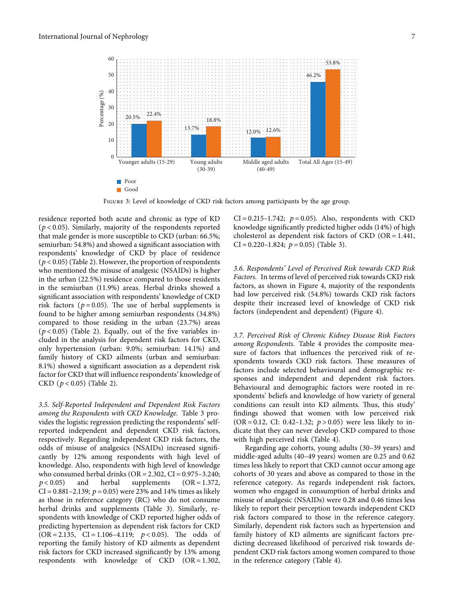<span id="page-6-0"></span>

Figure 3: Level of knowledge of CKD risk factors among participants by the age group.

residence reported both acute and chronic as type of KD (*p* < 0.05). Similarly, majority of the respondents reported that male gender is more susceptible to CKD (urban: 66.5%; semiurban: 54.8%) and showed a significant association with respondents' knowledge of CKD by place of residence  $(p < 0.05)$  (Table [2](#page-7-0)). However, the proportion of respondents who mentioned the misuse of analgesic (NSAIDs) is higher in the urban (22.5%) residence compared to those residents in the semiurban (11.9%) areas. Herbal drinks showed a significant association with respondents' knowledge of CKD risk factors ( $p = 0.05$ ). The use of herbal supplements is found to be higher among semiurban respondents (34.8%) compared to those residing in the urban (23.7%) areas  $(p < 0.05)$  (Table [2\)](#page-7-0). Equally, out of the five variables included in the analysis for dependent risk factors for CKD, only hypertension (urban: 9.0%; semiurban: 14.1%) and family history of CKD ailments (urban and semiurban: 8.1%) showed a significant association as a dependent risk factor for CKD that will influence respondents' knowledge of CKD (*p* < 0.05) (Table [2\)](#page-7-0).

*3.5. Self-Reported Independent and Dependent Risk Factors among the Respondents with CKD Knowledge.* Table [3](#page-8-0) provides the logistic regression predicting the respondents' selfreported independent and dependent CKD risk factors, respectively. Regarding independent CKD risk factors, the odds of misuse of analgesics (NSAIDs) increased significantly by 12% among respondents with high level of knowledge. Also, respondents with high level of knowledge who consumed herbal drinks ( $OR = 2.302$ ,  $CI = 0.975-3.240$ ;  $p < 0.05$ ) and herbal supplements (OR = 1.372,  $CI = 0.881 - 2.139$ ;  $p = 0.05$ ) were 23% and 14% times as likely as those in reference category (RC) who do not consume herbal drinks and supplements (Table [3\)](#page-8-0). Similarly, respondents with knowledge of CKD reported higher odds of predicting hypertension as dependent risk factors for CKD  $(OR = 2.135, CI = 1.106-4.119; p < 0.05)$ . The odds of reporting the family history of KD ailments as dependent risk factors for CKD increased significantly by 13% among respondents with knowledge of  $CKD$   $(OR = 1.302,$ 

 $CI = 0.215 - 1.742$ ;  $p = 0.05$ ). Also, respondents with CKD knowledge significantly predicted higher odds (14%) of high cholesterol as dependent risk factors of  $CKD$  (OR = 1.441,  $CI = 0.220 - 1.824$ ;  $p = 0.05$ ) (Table [3\)](#page-8-0).

*3.6. Respondents' Level of Perceived Risk towards CKD Risk Factors.* In terms of level of perceived risk towards CKD risk factors, as shown in Figure [4,](#page-8-0) majority of the respondents had low perceived risk (54.8%) towards CKD risk factors despite their increased level of knowledge of CKD risk factors (independent and dependent) (Figure [4\)](#page-8-0).

*3.7. Perceived Risk of Chronic Kidney Disease Risk Factors among Respondents.* Table [4](#page-9-0) provides the composite measure of factors that influences the perceived risk of respondents towards CKD risk factors. These measures of factors include selected behavioural and demographic responses and independent and dependent risk factors. Behavioural and demographic factors were rooted in respondents' beliefs and knowledge of how variety of general conditions can result into KD ailments. Thus, this study' findings showed that women with low perceived risk (OR = 0.12, CI: 0.42–1.32;  $p > 0.05$ ) were less likely to indicate that they can never develop CKD compared to those with high perceived risk (Table [4](#page-9-0)).

Regarding age cohorts, young adults (30–39 years) and middle-aged adults (40–49 years) women are 0.25 and 0.62 times less likely to report that CKD cannot occur among age cohorts of 30 years and above as compared to those in the reference category. As regards independent risk factors, women who engaged in consumption of herbal drinks and misuse of analgesic (NSAIDs) were 0.28 and 0.46 times less likely to report their perception towards independent CKD risk factors compared to those in the reference category. Similarly, dependent risk factors such as hypertension and family history of KD ailments are significant factors predicting decreased likelihood of perceived risk towards dependent CKD risk factors among women compared to those in the reference category (Table [4\)](#page-9-0).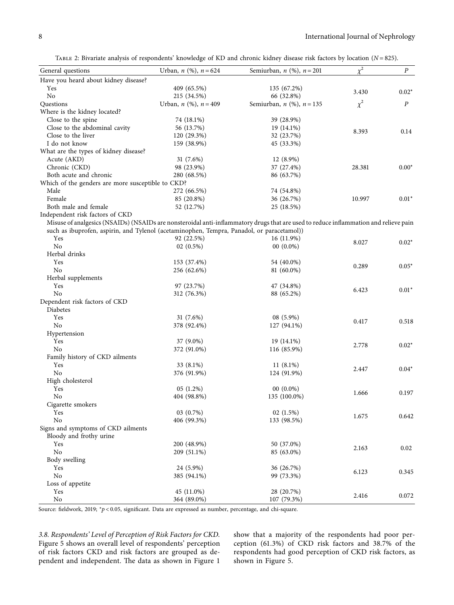TABLE 2: Bivariate analysis of respondents' knowledge of KD and chronic kidney disease risk factors by location (*N* = 825).

<span id="page-7-0"></span>

| General questions                                             | Urban, <i>n</i> (%), $n = 624$                                                            | Semiurban, $n$ (%), $n = 201$                                                                                                        | $\chi^2$ | $\boldsymbol{P}$ |
|---------------------------------------------------------------|-------------------------------------------------------------------------------------------|--------------------------------------------------------------------------------------------------------------------------------------|----------|------------------|
| Have you heard about kidney disease?                          |                                                                                           |                                                                                                                                      |          |                  |
| Yes                                                           | 409 (65.5%)                                                                               | 135 (67.2%)                                                                                                                          |          |                  |
| No                                                            | 215 (34.5%)                                                                               | 66 (32.8%)                                                                                                                           | 3.430    | $0.02*$          |
| Questions                                                     | Urban, $n$ (%), $n = 409$                                                                 | Semiurban, $n$ (%), $n = 135$                                                                                                        | $\chi^2$ | $\cal P$         |
| Where is the kidney located?                                  |                                                                                           |                                                                                                                                      |          |                  |
| Close to the spine                                            | 74 (18.1%)                                                                                | 39 (28.9%)                                                                                                                           |          |                  |
| Close to the abdominal cavity                                 | 56 (13.7%)                                                                                | 19 (14.1%)                                                                                                                           |          |                  |
| Close to the liver                                            | 120 (29.3%)                                                                               | 32 (23.7%)                                                                                                                           | 8.393    | 0.14             |
| I do not know                                                 | 159 (38.9%)                                                                               | 45 (33.3%)                                                                                                                           |          |                  |
| What are the types of kidney disease?                         |                                                                                           |                                                                                                                                      |          |                  |
| Acute (AKD)                                                   | 31 $(7.6%)$                                                                               | 12 (8.9%)                                                                                                                            |          |                  |
| Chronic (CKD)                                                 | 98 (23.9%)                                                                                | 37 (27.4%)                                                                                                                           | 28.381   | $0.00*$          |
| Both acute and chronic                                        | 280 (68.5%)                                                                               | 86 (63.7%)                                                                                                                           |          |                  |
| Which of the genders are more susceptible to CKD?             |                                                                                           |                                                                                                                                      |          |                  |
| Male                                                          | 272 (66.5%)                                                                               | 74 (54.8%)                                                                                                                           |          |                  |
| Female                                                        | 85 (20.8%)                                                                                | 36 (26.7%)                                                                                                                           | 10.997   | $0.01*$          |
| Both male and female                                          | 52 (12.7%)                                                                                | 25 (18.5%)                                                                                                                           |          |                  |
| Independent risk factors of CKD                               |                                                                                           |                                                                                                                                      |          |                  |
|                                                               |                                                                                           | Misuse of analgesics (NSAIDs) (NSAIDs are nonsteroidal anti-inflammatory drugs that are used to reduce inflammation and relieve pain |          |                  |
|                                                               | such as ibuprofen, aspirin, and Tylenol (acetaminophen, Tempra, Panadol, or paracetamol)) |                                                                                                                                      |          |                  |
| Yes                                                           | 92 (22.5%)                                                                                | 16 (11.9%)                                                                                                                           |          |                  |
| No                                                            | $02(0.5\%)$                                                                               | $00(0.0\%)$                                                                                                                          | 8.027    | $0.02*$          |
| Herbal drinks                                                 |                                                                                           |                                                                                                                                      |          |                  |
| Yes                                                           | 153 (37.4%)                                                                               | 54 (40.0%)                                                                                                                           |          |                  |
| No                                                            | 256 (62.6%)                                                                               | 81 (60.0%)                                                                                                                           | 0.289    | $0.05*$          |
| Herbal supplements                                            |                                                                                           |                                                                                                                                      |          |                  |
| Yes                                                           | 97 (23.7%)                                                                                | 47 (34.8%)                                                                                                                           |          |                  |
| No                                                            | 312 (76.3%)                                                                               | 88 (65.2%)                                                                                                                           | 6.423    | $0.01*$          |
| Dependent risk factors of CKD                                 |                                                                                           |                                                                                                                                      |          |                  |
| Diabetes                                                      |                                                                                           |                                                                                                                                      |          |                  |
| Yes                                                           | 31 $(7.6\%)$                                                                              | 08 (5.9%)                                                                                                                            |          |                  |
| No                                                            |                                                                                           |                                                                                                                                      | 0.417    | 0.518            |
|                                                               | 378 (92.4%)                                                                               | 127 (94.1%)                                                                                                                          |          |                  |
| Hypertension                                                  |                                                                                           |                                                                                                                                      |          |                  |
| Yes                                                           | 37 (9.0%)                                                                                 | 19 (14.1%)                                                                                                                           | 2.778    | $0.02*$          |
| No                                                            | 372 (91.0%)                                                                               | 116 (85.9%)                                                                                                                          |          |                  |
| Family history of CKD ailments                                |                                                                                           |                                                                                                                                      |          |                  |
| Yes                                                           | 33 (8.1%)                                                                                 | $11(8.1\%)$                                                                                                                          | 2.447    | $0.04*$          |
| No                                                            | 376 (91.9%)                                                                               | 124 (91.9%)                                                                                                                          |          |                  |
| High cholesterol                                              |                                                                                           |                                                                                                                                      |          |                  |
| Yes                                                           | 05(1.2%)                                                                                  | $00(0.0\%)$                                                                                                                          | 1.666    | 0.197            |
| No                                                            | 404 (98.8%)                                                                               | 135 (100.0%)                                                                                                                         |          |                  |
| Cigarette smokers                                             |                                                                                           |                                                                                                                                      |          |                  |
| Yes                                                           | 03 (0.7%)                                                                                 | 02(1.5%)                                                                                                                             | 1.675    | 0.642            |
| No                                                            | 406 (99.3%)                                                                               | 133 (98.5%)                                                                                                                          |          |                  |
| Signs and symptoms of CKD ailments<br>Bloody and frothy urine |                                                                                           |                                                                                                                                      |          |                  |
| Yes                                                           | 200 (48.9%)                                                                               | 50 (37.0%)                                                                                                                           | 2.163    | 0.02             |
| No                                                            | 209 (51.1%)                                                                               | 85 (63.0%)                                                                                                                           |          |                  |
| Body swelling                                                 |                                                                                           |                                                                                                                                      |          |                  |
| Yes                                                           | 24 (5.9%)                                                                                 | 36 (26.7%)                                                                                                                           | 6.123    | 0.345            |
| No                                                            | 385 (94.1%)                                                                               | 99 (73.3%)                                                                                                                           |          |                  |
| Loss of appetite                                              |                                                                                           |                                                                                                                                      |          |                  |
| Yes                                                           | 45 (11.0%)                                                                                | 28 (20.7%)                                                                                                                           | 2.416    |                  |
| No                                                            | 364 (89.0%)                                                                               | 107 (79.3%)                                                                                                                          |          | 0.072            |

Source: fieldwork, 2019; *\*p* < 0.05, significant. Data are expressed as number, percentage, and chi-square.

*3.8. Respondents' Level of Perception of Risk Factors for CKD.* Figure [5](#page-9-0) shows an overall level of respondents' perception of risk factors CKD and risk factors are grouped as de-pendent and independent. The data as shown in Figure [1](#page-3-0)

show that a majority of the respondents had poor perception (61.3%) of CKD risk factors and 38.7% of the respondents had good perception of CKD risk factors, as shown in Figure [5](#page-9-0).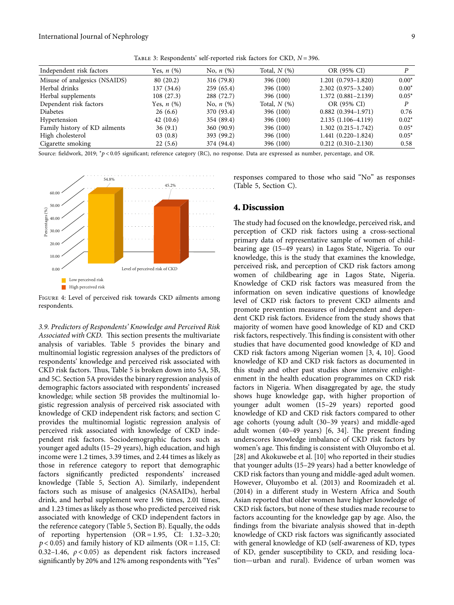| TABLE 3: Respondents' self-reported risk factors for CKD, N = 396. |  |
|--------------------------------------------------------------------|--|
|--------------------------------------------------------------------|--|

<span id="page-8-0"></span>

| Independent risk factors      | Yes, $n$ $(\%)$ | No, $n$ (%) | Total, $N$ $(\%)$ | OR (95% CI)            |         |
|-------------------------------|-----------------|-------------|-------------------|------------------------|---------|
| Misuse of analgesics (NSAIDS) | 80(20.2)        | 316 (79.8)  | 396 (100)         | $1.201(0.793 - 1.820)$ | $0.00*$ |
| Herbal drinks                 | 137 (34.6)      | 259(65.4)   | 396 (100)         | $2.302(0.975 - 3.240)$ | $0.00*$ |
| Herbal supplements            | 108(27.3)       | 288 (72.7)  | 396 (100)         | $1.372(0.881 - 2.139)$ | $0.05*$ |
| Dependent risk factors        | Yes, $n(%)$     | No, $n$ (%) | Total, $N(%)$     | OR (95% CI)            | P       |
| <b>Diabetes</b>               | 26(6.6)         | 370 (93.4)  | 396 (100)         | $0.882(0.394 - 1.971)$ | 0.76    |
| Hypertension                  | 42(10.6)        | 354 (89.4)  | 396 (100)         | $2.135(1.106-4.119)$   | $0.02*$ |
| Family history of KD ailments | 36(9.1)         | 360(90.9)   | 396 (100)         | $1.302(0.215 - 1.742)$ | $0.05*$ |
| High cholesterol              | 03(0.8)         | 393 (99.2)  | 396 (100)         | $1.441(0.220-1.824)$   | $0.05*$ |
| Cigarette smoking             | 22(5.6)         | 374 (94.4)  | 396 (100)         | $0.212(0.310 - 2.130)$ | 0.58    |

Source: fieldwork, 2019; <sup>∗</sup> *p* < 0*.*05 significant; reference category (RC), no response. Data are expressed as number, percentage, and OR.



Figure 4: Level of perceived risk towards CKD ailments among respondents.

*3.9. Predictors of Respondents' Knowledge and Perceived Risk* Associated with CKD. This section presents the multivariate analysis of variables. Table [5](#page-10-0) provides the binary and multinomial logistic regression analyses of the predictors of respondents' knowledge and perceived risk associated with CKD risk factors. Thus, Table [5](#page-10-0) is broken down into 5A, 5B, and 5C. Section 5A provides the binary regression analysis of demographic factors associated with respondents' increased knowledge; while section 5B provides the multinomial logistic regression analysis of perceived risk associated with knowledge of CKD independent risk factors; and section C provides the multinomial logistic regression analysis of perceived risk associated with knowledge of CKD independent risk factors. Sociodemographic factors such as younger aged adults (15–29 years), high education, and high income were 1.2 times, 3.39 times, and 2.44 times as likely as those in reference category to report that demographic factors significantly predicted respondents' increased knowledge (Table [5](#page-10-0), Section A). Similarly, independent factors such as misuse of analgesics (NASAIDs), herbal drink, and herbal supplement were 1.96 times, 2.01 times, and 1.23 times as likely as those who predicted perceived risk associated with knowledge of CKD independent factors in the reference category (Table [5,](#page-10-0) Section B). Equally, the odds of reporting hypertension  $(OR = 1.95, CI: 1.32-3.20;$  $p$  < 0.05) and family history of KD ailments (OR = 1.15, CI: 0.32–1.46, *ρ* < 0.05) as dependent risk factors increased significantly by 20% and 12% among respondents with "Yes"

responses compared to those who said "No" as responses (Table [5,](#page-10-0) Section C).

#### **4. Discussion**

The study had focused on the knowledge, perceived risk, and perception of CKD risk factors using a cross-sectional primary data of representative sample of women of childbearing age (15–49 years) in Lagos State, Nigeria. To our knowledge, this is the study that examines the knowledge, perceived risk, and perception of CKD risk factors among women of childbearing age in Lagos State, Nigeria. Knowledge of CKD risk factors was measured from the information on seven indicative questions of knowledge level of CKD risk factors to prevent CKD ailments and promote prevention measures of independent and dependent CKD risk factors. Evidence from the study shows that majority of women have good knowledge of KD and CKD risk factors, respectively. This finding is consistent with other studies that have documented good knowledge of KD and CKD risk factors among Nigerian women [\[3](#page-13-0), [4](#page-13-0), [10\]](#page-13-0). Good knowledge of KD and CKD risk factors as documented in this study and other past studies show intensive enlightenment in the health education programmes on CKD risk factors in Nigeria. When disaggregated by age, the study shows huge knowledge gap, with higher proportion of younger adult women (15–29 years) reported good knowledge of KD and CKD risk factors compared to other age cohorts (young adult (30–39 years) and middle-aged adult women  $(40-49$  years)  $[6, 34]$  $[6, 34]$  $[6, 34]$  $[6, 34]$ . The present finding underscores knowledge imbalance of CKD risk factors by women's age. This finding is consistent with Oluyombo et al. [\[28\]](#page-14-0) and Akokuwebe et al. [[10](#page-13-0)] who reported in their studies that younger adults (15–29 years) had a better knowledge of CKD risk factors than young and middle-aged adult women. However, Oluyombo et al. (2013) and Roomizadeh et al. (2014) in a different study in Western Africa and South Asian reported that older women have higher knowledge of CKD risk factors, but none of these studies made recourse to factors accounting for the knowledge gap by age. Also, the findings from the bivariate analysis showed that in-depth knowledge of CKD risk factors was significantly associated with general knowledge of KD (self-awareness of KD, types of KD, gender susceptibility to CKD, and residing location—urban and rural). Evidence of urban women was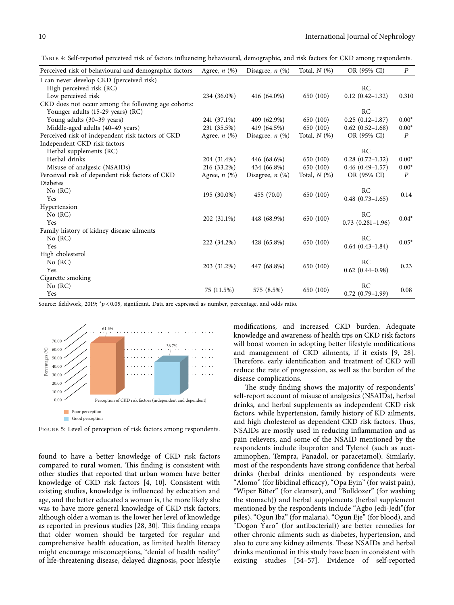<span id="page-9-0"></span>Table 4: Self-reported perceived risk of factors influencing behavioural, demographic, and risk factors for CKD among respondents.

| Perceived risk of behavioural and demographic factors | Agree, $n$ $(\%)$ | Disagree, $n$ $(\%)$ | Total, $N$ $(\%)$ | OR (95% CI)             | $\boldsymbol{P}$ |
|-------------------------------------------------------|-------------------|----------------------|-------------------|-------------------------|------------------|
| I can never develop CKD (perceived risk)              |                   |                      |                   |                         |                  |
| High perceived risk (RC)                              |                   |                      |                   | RC                      |                  |
| Low perceived risk                                    | 234 (36.0%)       | 416 (64.0%)          | 650 (100)         | $0.12$ $(0.42-1.32)$    | 0.310            |
| CKD does not occur among the following age cohorts:   |                   |                      |                   |                         |                  |
| Younger adults (15-29 years) (RC)                     |                   |                      |                   | RC                      |                  |
| Young adults (30-39 years)                            | 241 (37.1%)       | 409 (62.9%)          | 650 (100)         | $0.25(0.12-1.87)$       | $0.00*$          |
| Middle-aged adults (40–49 years)                      | 231 (35.5%)       | 419 (64.5%)          | 650 (100)         | $0.62(0.52 - 1.68)$     | $0.00*$          |
| Perceived risk of independent risk factors of CKD     | Agree, $n$ $(\%)$ | Disagree, $n$ (%)    | Total, $N$ $(\%)$ | OR (95% CI)             | $\boldsymbol{P}$ |
| Independent CKD risk factors                          |                   |                      |                   |                         |                  |
| Herbal supplements (RC)                               |                   |                      |                   | RC                      |                  |
| Herbal drinks                                         | 204 (31.4%)       | 446 (68.6%)          | 650 (100)         | $0.28(0.72 - 1.32)$     | $0.00*$          |
| Misuse of analgesic (NSAIDs)                          | 216 (33.2%)       | 434 (66.8%)          | 650 (100)         | $0.46$ $(0.49-1.57)$    | $0.00*$          |
| Perceived risk of dependent risk factors of CKD       | Agree, $n$ $(\%)$ | Disagree, $n$ (%)    | Total, $N$ $(\%)$ | OR (95% CI)             | $\boldsymbol{P}$ |
| Diabetes                                              |                   |                      |                   |                         |                  |
| No (RC)                                               | 195 (30.0%)       | 455 (70.0)           | 650 (100)         | RC                      | 0.14             |
| Yes                                                   |                   |                      |                   | $0.48$ $(0.73-1.65)$    |                  |
| Hypertension                                          |                   |                      |                   |                         |                  |
| No (RC)                                               | 202 (31.1%)       | 448 (68.9%)          | 650 (100)         | RC                      | $0.04*$          |
| Yes                                                   |                   |                      |                   | $0.73$ $(0.281 - 1.96)$ |                  |
| Family history of kidney disease ailments             |                   |                      |                   |                         |                  |
| No (RC)                                               | 222 (34.2%)       | 428 (65.8%)          | 650 (100)         | RC                      | $0.05*$          |
| Yes                                                   |                   |                      |                   | $0.64$ $(0.43-1.84)$    |                  |
| High cholesterol                                      |                   |                      |                   |                         |                  |
| No (RC)                                               | 203 (31.2%)       | 447 (68.8%)          | 650 (100)         | RC                      | 0.23             |
| Yes                                                   |                   |                      |                   | $0.62$ $(0.44 - 0.98)$  |                  |
| Cigarette smoking                                     |                   |                      |                   |                         |                  |
| No (RC)                                               | 75 (11.5%)        | 575 (8.5%)           | 650 (100)         | RC                      | 0.08             |
| Yes                                                   |                   |                      |                   | $0.72$ $(0.79-1.99)$    |                  |

Source: fieldwork, 2019; <sup>∗</sup> *p* < 0*.*05, significant. Data are expressed as number, percentage, and odds ratio.



Figure 5: Level of perception of risk factors among respondents.

found to have a better knowledge of CKD risk factors compared to rural women. This finding is consistent with other studies that reported that urban women have better knowledge of CKD risk factors [\[4, 10\]](#page-13-0). Consistent with existing studies, knowledge is influenced by education and age, and the better educated a woman is, the more likely she was to have more general knowledge of CKD risk factors; although older a woman is, the lower her level of knowledge as reported in previous studies  $[28, 30]$ . This finding recaps that older women should be targeted for regular and comprehensive health education, as limited health literacy might encourage misconceptions, "denial of health reality" of life-threatening disease, delayed diagnosis, poor lifestyle

modifications, and increased CKD burden. Adequate knowledge and awareness of health tips on CKD risk factors will boost women in adopting better lifestyle modifications and management of CKD ailments, if it exists [\[9](#page-13-0), [28](#page-14-0)]. Therefore, early identification and treatment of CKD will reduce the rate of progression, as well as the burden of the disease complications.

The study finding shows the majority of respondents' self-report account of misuse of analgesics (NSAIDs), herbal drinks, and herbal supplements as independent CKD risk factors, while hypertension, family history of KD ailments, and high cholesterol as dependent CKD risk factors. Thus, NSAIDs are mostly used in reducing inflammation and as pain relievers, and some of the NSAID mentioned by the respondents include ibuprofen and Tylenol (such as acetaminophen, Tempra, Panadol, or paracetamol). Similarly, most of the respondents have strong confidence that herbal drinks (herbal drinks mentioned by respondents were "Alomo" (for libidinal efficacy), "Opa Eyin" (for waist pain), "Wiper Bitter" (for cleanser), and "Bulldozer" (for washing the stomach)) and herbal supplements (herbal supplement mentioned by the respondents include "Agbo Jedi-Jedi"(for piles), "Ogun Iba" (for malaria), "Ogun Eje" (for blood), and "Dogon Yaro" (for antibacterial)) are better remedies for other chronic ailments such as diabetes, hypertension, and also to cure any kidney ailments. These NSAIDs and herbal drinks mentioned in this study have been in consistent with existing studies [\[54–57](#page-15-0)]. Evidence of self-reported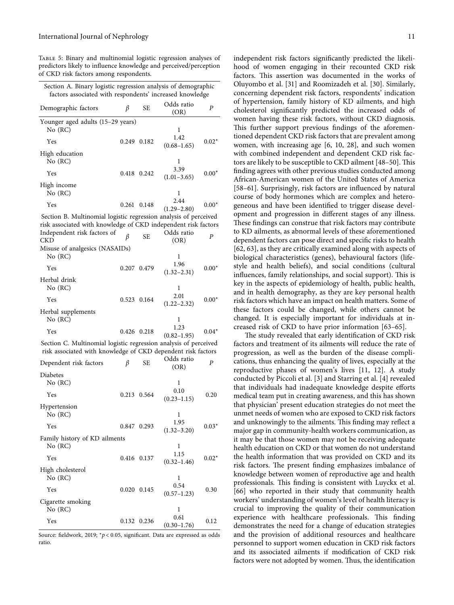<span id="page-10-0"></span>Table 5: Binary and multinomial logistic regression analyses of predictors likely to influence knowledge and perceived/perception of CKD risk factors among respondents.

| Section A. Binary logistic regression analysis of demographic<br>factors associated with respondents' increased knowledge        |       |             |                         |                  |
|----------------------------------------------------------------------------------------------------------------------------------|-------|-------------|-------------------------|------------------|
| Demographic factors                                                                                                              | β     | SЕ          | Odds ratio<br>(OR)      | P                |
| Younger aged adults (15-29 years)<br>No (RC)                                                                                     |       |             | 1                       |                  |
| Yes                                                                                                                              |       | 0.249 0.182 | 1.42<br>$(0.68 - 1.65)$ | $0.02*$          |
| High education<br>No (RC)                                                                                                        |       |             | 1                       |                  |
| Yes                                                                                                                              |       | 0.418 0.242 | 3.39<br>$(1.01 - 3.65)$ | $0.00*$          |
| High income<br>No (RC)                                                                                                           |       |             | 1                       |                  |
| Yes                                                                                                                              | 0.261 | 0.148       | 2.44<br>$(1.29 - 2.80)$ | $0.00*$          |
| Section B. Multinomial logistic regression analysis of perceived                                                                 |       |             |                         |                  |
| risk associated with knowledge of CKD independent risk factors<br>Independent risk factors of                                    |       |             | Odds ratio              |                  |
| CKD                                                                                                                              | β     | SЕ          | (OR)                    | P                |
| Misuse of analgesics (NASAIDs)                                                                                                   |       |             |                         |                  |
| No (RC)                                                                                                                          |       |             | 1<br>1.96               |                  |
| Yes                                                                                                                              |       | 0.207 0.479 | $(1.32 - 2.31)$         | $0.00*$          |
| Herbal drink<br>No (RC)                                                                                                          |       |             | 1                       |                  |
| Yes                                                                                                                              |       | 0.523 0.164 | 2.01<br>$(1.22 - 2.32)$ | $0.00*$          |
| Herbal supplements<br>No (RC)                                                                                                    |       |             | 1                       |                  |
| Yes                                                                                                                              |       | 0.426 0.218 | 1.23<br>$(0.82 - 1.95)$ | $0.04*$          |
| Section C. Multinomial logistic regression analysis of perceived<br>risk associated with knowledge of CKD dependent risk factors |       |             |                         |                  |
| Dependent risk factors                                                                                                           | β     | SЕ          | Odds ratio              | $\boldsymbol{P}$ |
| Diabetes                                                                                                                         |       |             | (OR)                    |                  |
| No (RC)                                                                                                                          |       |             | 1<br>0.10               |                  |
| Yes                                                                                                                              | 0.213 | 0.564       | $(0.23 - 1.15)$         | 0.20             |
| Hypertension<br>No (RC)                                                                                                          |       |             | 1                       |                  |
| Yes                                                                                                                              |       | 0.847 0.293 | 1.95<br>$(1.32 - 3.20)$ | $0.03*$          |
| Family history of KD ailments<br>No (RC)                                                                                         |       |             | 1                       |                  |
| Yes                                                                                                                              | 0.416 | 0.137       | 1.15<br>$(0.32 - 1.46)$ | $0.02*$          |
| High cholesterol<br>No (RC)                                                                                                      |       |             | 1                       |                  |
| Yes                                                                                                                              | 0.020 | 0.145       | 0.54<br>$(0.57 - 1.23)$ | 0.30             |
| Cigarette smoking                                                                                                                |       |             |                         |                  |

Yes 0.132 0.236 0.61  $(0.30-1.76)$  0.12 Source: fieldwork, 2019; <sup>∗</sup> *p* < 0*.*05, significant. Data are expressed as odds ratio.

No (RC) and 1

independent risk factors significantly predicted the likelihood of women engaging in their recounted CKD risk factors. This assertion was documented in the works of Oluyombo et al. [[31\]](#page-14-0) and Roomizadeh et al. [[30](#page-14-0)]. Similarly, concerning dependent risk factors, respondents' indication of hypertension, family history of KD ailments, and high cholesterol significantly predicted the increased odds of women having these risk factors, without CKD diagnosis. This further support previous findings of the aforementioned dependent CKD risk factors that are prevalent among women, with increasing age [\[6, 10,](#page-13-0) [28](#page-14-0)], and such women with combined independent and dependent CKD risk factors are likely to be susceptible to CKD ailment [48-50]. This finding agrees with other previous studies conducted among African-American women of the United States of America [\[58–61](#page-15-0)]. Surprisingly, risk factors are influenced by natural course of body hormones which are complex and heterogeneous and have been identified to trigger disease development and progression in different stages of any illness. These findings can construe that risk factors may contribute to KD ailments, as abnormal levels of these aforementioned dependent factors can pose direct and specific risks to health [\[62, 63](#page-15-0)], as they are critically examined along with aspects of biological characteristics (genes), behavioural factors (lifestyle and health beliefs), and social conditions (cultural influences, family relationships, and social support). This is key in the aspects of epidemiology of health, public health, and in health demography, as they are key personal health risk factors which have an impact on health matters. Some of these factors could be changed, while others cannot be changed. It is especially important for individuals at increased risk of CKD to have prior information [[63](#page-15-0)–[65](#page-15-0)].

The study revealed that early identification of CKD risk factors and treatment of its ailments will reduce the rate of progression, as well as the burden of the disease complications, thus enhancing the quality of lives, especially at the reproductive phases of women's lives [[11, 12](#page-14-0)]. A study conducted by Piccoli et al. [[3\]](#page-13-0) and Starring et al. [\[4](#page-13-0)] revealed that individuals had inadequate knowledge despite efforts medical team put in creating awareness, and this has shown that physician' present education strategies do not meet the unmet needs of women who are exposed to CKD risk factors and unknowingly to the ailments. This finding may reflect a major gap in community-health workers communication, as it may be that those women may not be receiving adequate health education on CKD or that women do not understand the health information that was provided on CKD and its risk factors. The present finding emphasizes imbalance of knowledge between women of reproductive age and health professionals. This finding is consistent with Luyckx et al. [\[66\]](#page-15-0) who reported in their study that community health workers' understanding of women's level of health literacy is crucial to improving the quality of their communication experience with healthcare professionals. This finding demonstrates the need for a change of education strategies and the provision of additional resources and healthcare personnel to support women education in CKD risk factors and its associated ailments if modification of CKD risk factors were not adopted by women. Thus, the identification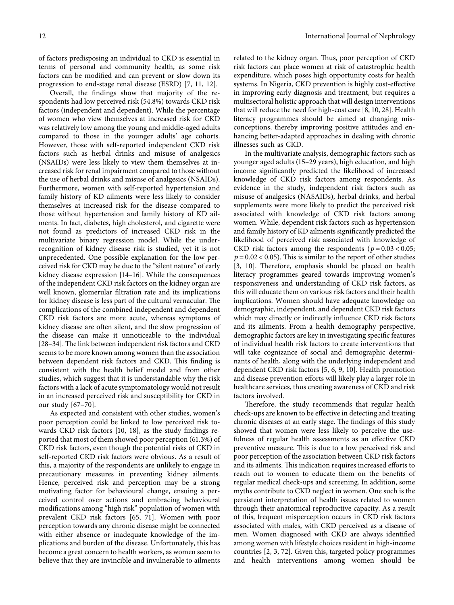of factors predisposing an individual to CKD is essential in terms of personal and community health, as some risk factors can be modified and can prevent or slow down its progression to end-stage renal disease (ESRD) [\[7,](#page-13-0) [11](#page-14-0), [12](#page-14-0)].

Overall, the findings show that majority of the respondents had low perceived risk (54.8%) towards CKD risk factors (independent and dependent). While the percentage of women who view themselves at increased risk for CKD was relatively low among the young and middle-aged adults compared to those in the younger adults' age cohorts. However, those with self-reported independent CKD risk factors such as herbal drinks and misuse of analgesics (NSAIDs) were less likely to view them themselves at increased risk for renal impairment compared to those without the use of herbal drinks and misuse of analgesics (NSAIDs). Furthermore, women with self-reported hypertension and family history of KD ailments were less likely to consider themselves at increased risk for the disease compared to those without hypertension and family history of KD ailments. In fact, diabetes, high cholesterol, and cigarette were not found as predictors of increased CKD risk in the multivariate binary regression model. While the underrecognition of kidney disease risk is studied, yet it is not unprecedented. One possible explanation for the low perceived risk for CKD may be due to the "silent nature" of early kidney disease expression [\[14–16\]](#page-14-0). While the consequences of the independent CKD risk factors on the kidney organ are well known, glomerular filtration rate and its implications for kidney disease is less part of the cultural vernacular. The complications of the combined independent and dependent CKD risk factors are more acute, whereas symptoms of kidney disease are often silent, and the slow progression of the disease can make it unnoticeable to the individual [28-34]. The link between independent risk factors and CKD seems to be more known among women than the association between dependent risk factors and CKD. This finding is consistent with the health belief model and from other studies, which suggest that it is understandable why the risk factors with a lack of acute symptomatology would not result in an increased perceived risk and susceptibility for CKD in our study [[67](#page-15-0)–[70](#page-15-0)].

As expected and consistent with other studies, women's poor perception could be linked to low perceived risk towards CKD risk factors [[10,](#page-13-0) [18](#page-14-0)], as the study findings reported that most of them showed poor perception (61.3%) of CKD risk factors, even though the potential risks of CKD in self-reported CKD risk factors were obvious. As a result of this, a majority of the respondents are unlikely to engage in precautionary measures in preventing kidney ailments. Hence, perceived risk and perception may be a strong motivating factor for behavioural change, ensuing a perceived control over actions and embracing behavioural modifications among "high risk" population of women with prevalent CKD risk factors [[65](#page-15-0), [71\]](#page-15-0). Women with poor perception towards any chronic disease might be connected with either absence or inadequate knowledge of the implications and burden of the disease. Unfortunately, this has become a great concern to health workers, as women seem to believe that they are invincible and invulnerable to ailments

related to the kidney organ. Thus, poor perception of CKD risk factors can place women at risk of catastrophic health expenditure, which poses high opportunity costs for health systems. In Nigeria, CKD prevention is highly cost-effective in improving early diagnosis and treatment, but requires a multisectoral holistic approach that will design interventions that will reduce the need for high-cost care [\[8, 10,](#page-13-0) [28](#page-14-0)]. Health literacy programmes should be aimed at changing misconceptions, thereby improving positive attitudes and enhancing better-adapted approaches in dealing with chronic illnesses such as CKD.

In the multivariate analysis, demographic factors such as younger aged adults (15–29 years), high education, and high income significantly predicted the likelihood of increased knowledge of CKD risk factors among respondents. As evidence in the study, independent risk factors such as misuse of analgesics (NASAIDs), herbal drinks, and herbal supplements were more likely to predict the perceived risk associated with knowledge of CKD risk factors among women. While, dependent risk factors such as hypertension and family history of KD ailments significantly predicted the likelihood of perceived risk associated with knowledge of CKD risk factors among the respondents ( $p = 0.03 < 0.05$ ;  $p = 0.02 < 0.05$ ). This is similar to the report of other studies [\[3](#page-13-0), [10\]](#page-13-0). Therefore, emphasis should be placed on health literacy programmes geared towards improving women's responsiveness and understanding of CKD risk factors, as this will educate them on various risk factors and their health implications. Women should have adequate knowledge on demographic, independent, and dependent CKD risk factors which may directly or indirectly influence CKD risk factors and its ailments. From a health demography perspective, demographic factors are key in investigating specific features of individual health risk factors to create interventions that will take cognizance of social and demographic determinants of health, along with the underlying independent and dependent CKD risk factors [\[5](#page-13-0), [6, 9, 10](#page-13-0)]. Health promotion and disease prevention efforts will likely play a larger role in healthcare services, thus creating awareness of CKD and risk factors involved.

Therefore, the study recommends that regular health check-ups are known to be effective in detecting and treating chronic diseases at an early stage. The findings of this study showed that women were less likely to perceive the usefulness of regular health assessments as an effective CKD preventive measure. This is due to a low perceived risk and poor perception of the association between CKD risk factors and its ailments. This indication requires increased efforts to reach out to women to educate them on the benefits of regular medical check-ups and screening. In addition, some myths contribute to CKD neglect in women. One such is the persistent interpretation of health issues related to women through their anatomical reproductive capacity. As a result of this, frequent misperception occurs in CKD risk factors associated with males, with CKD perceived as a disease of men. Women diagnosed with CKD are always identified among women with lifestyle choices resident in high-income countries [\[2](#page-13-0), [3,](#page-13-0) [72](#page-15-0)]. Given this, targeted policy programmes and health interventions among women should be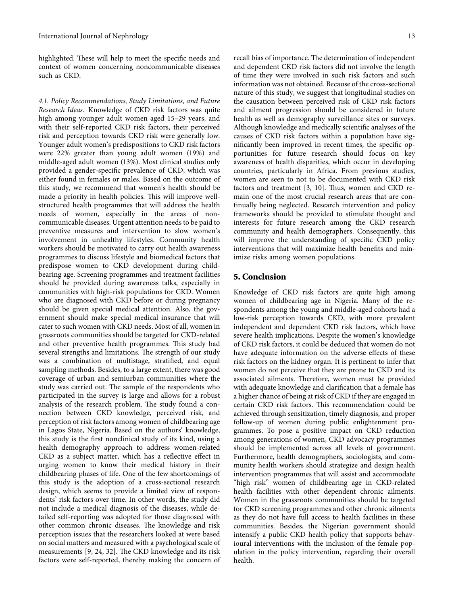highlighted. These will help to meet the specific needs and context of women concerning noncommunicable diseases such as CKD.

*4.1. Policy Recommendations, Study Limitations, and Future Research Ideas.* Knowledge of CKD risk factors was quite high among younger adult women aged 15–29 years, and with their self-reported CKD risk factors, their perceived risk and perception towards CKD risk were generally low. Younger adult women's predispositions to CKD risk factors were 22% greater than young adult women (19%) and middle-aged adult women (13%). Most clinical studies only provided a gender-specific prevalence of CKD, which was either found in females or males. Based on the outcome of this study, we recommend that women's health should be made a priority in health policies. This will improve wellstructured health programmes that will address the health needs of women, especially in the areas of noncommunicable diseases. Urgent attention needs to be paid to preventive measures and intervention to slow women's involvement in unhealthy lifestyles. Community health workers should be motivated to carry out health awareness programmes to discuss lifestyle and biomedical factors that predispose women to CKD development during childbearing age. Screening programmes and treatment facilities should be provided during awareness talks, especially in communities with high-risk populations for CKD. Women who are diagnosed with CKD before or during pregnancy should be given special medical attention. Also, the government should make special medical insurance that will cater to such women with CKD needs. Most of all, women in grassroots communities should be targeted for CKD-related and other preventive health programmes. This study had several strengths and limitations. The strength of our study was a combination of multistage, stratified, and equal sampling methods. Besides, to a large extent, there was good coverage of urban and semiurban communities where the study was carried out. The sample of the respondents who participated in the survey is large and allows for a robust analysis of the research problem. The study found a connection between CKD knowledge, perceived risk, and perception of risk factors among women of childbearing age in Lagos State, Nigeria. Based on the authors' knowledge, this study is the first nonclinical study of its kind, using a health demography approach to address women-related CKD as a subject matter, which has a reflective effect in urging women to know their medical history in their childbearing phases of life. One of the few shortcomings of this study is the adoption of a cross-sectional research design, which seems to provide a limited view of respondents' risk factors over time. In other words, the study did not include a medical diagnosis of the diseases, while detailed self-reporting was adopted for those diagnosed with other common chronic diseases. The knowledge and risk perception issues that the researchers looked at were based on social matters and measured with a psychological scale of measurements [[9](#page-13-0), [24](#page-14-0), [32\]](#page-14-0). The CKD knowledge and its risk factors were self-reported, thereby making the concern of

recall bias of importance. The determination of independent and dependent CKD risk factors did not involve the length of time they were involved in such risk factors and such information was not obtained. Because of the cross-sectional nature of this study, we suggest that longitudinal studies on the causation between perceived risk of CKD risk factors and ailment progression should be considered in future health as well as demography surveillance sites or surveys. Although knowledge and medically scientific analyses of the causes of CKD risk factors within a population have significantly been improved in recent times, the specific opportunities for future research should focus on key awareness of health disparities, which occur in developing countries, particularly in Africa. From previous studies, women are seen to not to be documented with CKD risk factors and treatment  $[3, 10]$  $[3, 10]$  $[3, 10]$ . Thus, women and CKD remain one of the most crucial research areas that are continually being neglected. Research intervention and policy frameworks should be provided to stimulate thought and interests for future research among the CKD research community and health demographers. Consequently, this will improve the understanding of specific CKD policy interventions that will maximize health benefits and minimize risks among women populations.

#### **5. Conclusion**

Knowledge of CKD risk factors are quite high among women of childbearing age in Nigeria. Many of the respondents among the young and middle-aged cohorts had a low-risk perception towards CKD, with more prevalent independent and dependent CKD risk factors, which have severe health implications. Despite the women's knowledge of CKD risk factors, it could be deduced that women do not have adequate information on the adverse effects of these risk factors on the kidney organ. It is pertinent to infer that women do not perceive that they are prone to CKD and its associated ailments. Therefore, women must be provided with adequate knowledge and clarification that a female has a higher chance of being at risk of CKD if they are engaged in certain CKD risk factors. This recommendation could be achieved through sensitization, timely diagnosis, and proper follow-up of women during public enlightenment programmes. To pose a positive impact on CKD reduction among generations of women, CKD advocacy programmes should be implemented across all levels of government. Furthermore, health demographers, sociologists, and community health workers should strategize and design health intervention programmes that will assist and accommodate "high risk" women of childbearing age in CKD-related health facilities with other dependent chronic ailments. Women in the grassroots communities should be targeted for CKD screening programmes and other chronic ailments as they do not have full access to health facilities in these communities. Besides, the Nigerian government should intensify a public CKD health policy that supports behavioural interventions with the inclusion of the female population in the policy intervention, regarding their overall health.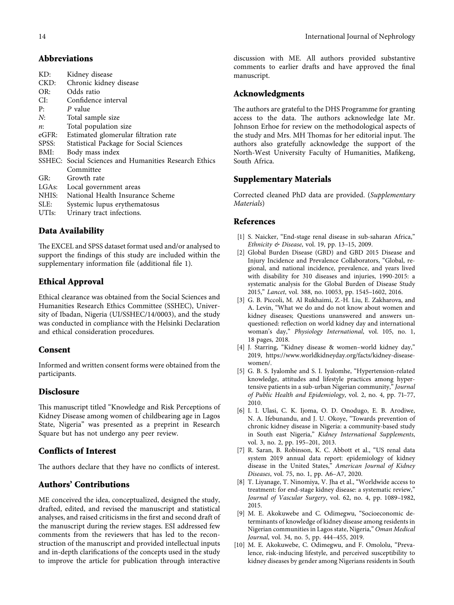#### <span id="page-13-0"></span>**Abbreviations**

| KD:                | Kidney disease                                        |
|--------------------|-------------------------------------------------------|
| CKD:               | Chronic kidney disease                                |
| OR:                | Odds ratio                                            |
| CI:                | Confidence interval                                   |
| P:                 | P value                                               |
| N:                 | Total sample size                                     |
| n:                 | Total population size                                 |
| eGFR:              | Estimated glomerular filtration rate                  |
| SPSS:              | Statistical Package for Social Sciences               |
| BMI:               | Body mass index                                       |
|                    | SSHEC: Social Sciences and Humanities Research Ethics |
|                    | Committee                                             |
| GR:                | Growth rate                                           |
| LGAs:              | Local government areas                                |
| NHIS:              | National Health Insurance Scheme                      |
| SLE:               | Systemic lupus erythematosus                          |
| UTI <sub>s</sub> : | Urinary tract infections.                             |
|                    |                                                       |

# **Data Availability**

The EXCEL and SPSS dataset format used and/or analysed to support the findings of this study are included within the supplementary information file (additional file 1).

# **Ethical Approval**

Ethical clearance was obtained from the Social Sciences and Humanities Research Ethics Committee (SSHEC), University of Ibadan, Nigeria (UI/SSHEC/14/0003), and the study was conducted in compliance with the Helsinki Declaration and ethical consideration procedures.

# **Consent**

Informed and written consent forms were obtained from the participants.

# **Disclosure**

This manuscript titled "Knowledge and Risk Perceptions of Kidney Disease among women of childbearing age in Lagos State, Nigeria" was presented as a preprint in Research Square but has not undergo any peer review.

# **Conflicts of Interest**

The authors declare that they have no conflicts of interest.

# **Authors' Contributions**

ME conceived the idea, conceptualized, designed the study, drafted, edited, and revised the manuscript and statistical analyses, and raised criticisms in the first and second draft of the manuscript during the review stages. ESI addressed few comments from the reviewers that has led to the reconstruction of the manuscript and provided intellectual inputs and in-depth clarifications of the concepts used in the study to improve the article for publication through interactive

discussion with ME. All authors provided substantive comments to earlier drafts and have approved the final manuscript.

### **Acknowledgments**

The authors are grateful to the DHS Programme for granting access to the data. The authors acknowledge late Mr. Johnson Erhoe for review on the methodological aspects of the study and Mrs. MH Thomas for her editorial input. The authors also gratefully acknowledge the support of the North-West University Faculty of Humanities, Mafikeng, South Africa.

#### **Supplementary Materials**

Corrected cleaned PhD data are provided. (*[Supplementary](https://downloads.hindawi.com/journals/ijn/2022/5511555.f1.xls) [Materials](https://downloads.hindawi.com/journals/ijn/2022/5511555.f1.xls)*)

#### **References**

- [1] S. Naicker, "End-stage renal disease in sub-saharan Africa," *Ethnicity & Disease*, vol. 19, pp. 13–15, 2009.
- [2] Global Burden Disease (GBD) and GBD 2015 Disease and Injury Incidence and Prevalence Collaborators, "Global, regional, and national incidence, prevalence, and years lived with disability for 310 diseases and injuries, 1990-2015: a systematic analysis for the Global Burden of Disease Study 2015," *Lancet*, vol. 388, no. 10053, pp. 1545–1602, 2016.
- [3] G. B. Piccoli, M. Al Rukhaimi, Z.-H. Liu, E. Zakharova, and A. Levin, "What we do and do not know about women and kidney diseases; Questions unanswered and answers unquestioned: reflection on world kidney day and international woman's day," *Physiology International*, vol. 105, no. 1, 18 pages, 2018.
- [4] J. Starring, "Kidney disease & women–world kidney day," 2019, [https://www.worldkidneyday.org/facts/kidney-disease](https://www.worldkidneyday.org/facts/kidney-disease-women/)[women/.](https://www.worldkidneyday.org/facts/kidney-disease-women/)
- [5] G. B. S. Iyalomhe and S. I. Iyalomhe, "Hypertension-related knowledge, attitudes and lifestyle practices among hypertensive patients in a sub-urban Nigerian community," *Journal of Public Health and Epidemiology*, vol. 2, no. 4, pp. 71–77, 2010.
- [6] I. I. Ulasi, C. K. Ijoma, O. D. Onodugo, E. B. Arodiwe, N. A. Ifebunandu, and J. U. Okoye, "Towards prevention of chronic kidney disease in Nigeria: a community-based study in South east Nigeria," *Kidney International Supplements*, vol. 3, no. 2, pp. 195–201, 2013.
- [7] R. Saran, B. Robinson, K. C. Abbott et al., "US renal data system 2019 annual data report: epidemiology of kidney disease in the United States," *American Journal of Kidney Diseases*, vol. 75, no. 1, pp. A6–A7, 2020.
- [8] T. Liyanage, T. Ninomiya, V. Jha et al., "Worldwide access to treatment: for end-stage kidney disease: a systematic review," *Journal of Vascular Surgery*, vol. 62, no. 4, pp. 1089–1982, 2015.
- [9] M. E. Akokuwebe and C. Odimegwu, "Socioeconomic determinants of knowledge of kidney disease among residents in Nigerian communities in Lagos state, Nigeria," *Oman Medical Journal*, vol. 34, no. 5, pp. 444–455, 2019.
- [10] M. E. Akokuwebe, C. Odimegwu, and F. Omololu, "Prevalence, risk-inducing lifestyle, and perceived susceptibility to kidney diseases by gender among Nigerians residents in South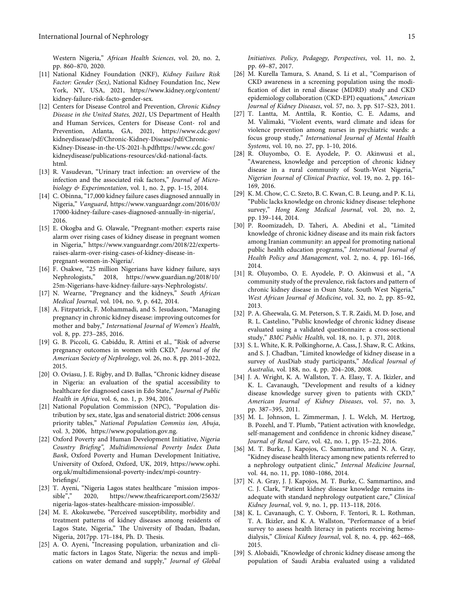<span id="page-14-0"></span>Western Nigeria," *African Health Sciences*, vol. 20, no. 2, pp. 860–870, 2020.

- [11] National Kidney Foundation (NKF), *Kidney Failure Risk Factor: Gender (Sex)*, National Kidney Foundation Inc, New York, NY, USA, 2021, [https://www.kidney.org/content/](https://www.kidney.org/content/kidney-failure-risk-facto-gender-sex) [kidney-failure-risk-facto-gender-sex.](https://www.kidney.org/content/kidney-failure-risk-facto-gender-sex)
- [12] Centers for Disease Control and Prevention, *Chronic Kidney Disease in the United States, 2021*, US Department of Health and Human Services, Centers for Disease Cont- rol and Prevention, Atlanta, GA, 2021, [https://www.cdc.gov/](https://www.cdc.gov/kidneydisease/pdf/Chronic-Kidney-Disease/pdf/Chronic-Kidney-Disease-in-the-US-2021-h.pdf) [kidneydisease/pdf/Chronic-Kidney-Disease/pdf/Chronic-](https://www.cdc.gov/kidneydisease/pdf/Chronic-Kidney-Disease/pdf/Chronic-Kidney-Disease-in-the-US-2021-h.pdf)[Kidney-Disease-in-the-US-2021-h.pdf](https://www.cdc.gov/kidneydisease/pdf/Chronic-Kidney-Disease/pdf/Chronic-Kidney-Disease-in-the-US-2021-h.pdf)[https://www.cdc.gov/](https://www.cdc.gov/kidneydisease/publications-resources/ckd-national-facts.html) [kidneydisease/publications-resources/ckd-national-facts.](https://www.cdc.gov/kidneydisease/publications-resources/ckd-national-facts.html) [html.](https://www.cdc.gov/kidneydisease/publications-resources/ckd-national-facts.html)
- [13] R. Vasudevan, "Urinary tract infection: an overview of the infection and the associated risk factors," *Journal of Microbiology & Experimentation*, vol. 1, no. 2, pp. 1–15, 2014.
- [14] C. Obinna, "17,000 kidney failure cases diagnosed annually in Nigeria," *Vanguard*, [https://www.vanguardngr.com/2016/03/](https://www.vanguardngr.com/2016/03/17000-kidney-failure-cases-diagnosed-annually-in-nigeria/) [17000-kidney-failure-cases-diagnosed-annually-in-nigeria/](https://www.vanguardngr.com/2016/03/17000-kidney-failure-cases-diagnosed-annually-in-nigeria/), 2016.
- [15] E. Okogba and G. Olawale, "Pregnant-mother: experts raise alarm over rising cases of kidney disease in pregnant women in Nigeria," [https://www.vanguardngr.com/2018/22/experts](https://www.vanguardngr.com/2018/22/experts-raises-alarm-over-rising-cases-of-kidney-disease-in-pregnant-women-in-Nigeria/)[raises-alarm-over-rising-cases-of-kidney-disease-in](https://www.vanguardngr.com/2018/22/experts-raises-alarm-over-rising-cases-of-kidney-disease-in-pregnant-women-in-Nigeria/)[pregnant-women-in-Nigeria/.](https://www.vanguardngr.com/2018/22/experts-raises-alarm-over-rising-cases-of-kidney-disease-in-pregnant-women-in-Nigeria/)
- [16] F. Osakwe, "25 million Nigerians have kidney failure, says Nephrologists," 2018, [https://www.guardian.ng/2018/10/](https://www.guardian.ng/2018/10/25m-Nigerians-have-kidney-failure-says-Nephrologists/) [25m-Nigerians-have-kidney-failure-says-Nephrologists/](https://www.guardian.ng/2018/10/25m-Nigerians-have-kidney-failure-says-Nephrologists/).
- [17] N. Wearne, "Pregnancy and the kidneys," *South African Medical Journal*, vol. 104, no. 9, p. 642, 2014.
- [18] A. Fitzpatrick, F. Mohammadi, and S. Jesudason, "Managing pregnancy in chronic kidney disease: improving outcomes for mother and baby," *International Journal of Women's Health*, vol. 8, pp. 273–285, 2016.
- [19] G. B. Piccoli, G. Cabiddu, R. Attini et al., "Risk of adverse pregnancy outcomes in women with CKD," *Journal of the American Society of Nephrology*, vol. 26, no. 8, pp. 2011–2022, 2015.
- [20] O. Oviasu, J. E. Rigby, and D. Ballas, "Chronic kidney disease in Nigeria: an evaluation of the spatial accessibility to healthcare for diagnosed cases in Edo State," *Journal of Public Health in Africa*, vol. 6, no. 1, p. 394, 2016.
- [21] National Population Commission (NPC), "Population distribution by sex, state, lgas and senatorial district: 2006 census priority tables," *National Population Commiss ion, Abuja*, vol. 3, 2006, [https://www.population.gov.ng.](https://www.population.gov.ng)
- [22] Oxford Poverty and Human Development Initiative, *Nigeria Country Briefing", Multidimensional Poverty Index Data Bank*, Oxford Poverty and Human Development Initiative, University of Oxford, Oxford, UK, 2019, [https://www.ophi.](https://www.ophi.org.uk/multidimensional-poverty-index/mpi-country-briefings/) [org.uk/multidimensional-poverty-index/mpi-country](https://www.ophi.org.uk/multidimensional-poverty-index/mpi-country-briefings/)[briefings/](https://www.ophi.org.uk/multidimensional-poverty-index/mpi-country-briefings/).
- [23] T. Ayeni, "Nigeria Lagos states healthcare "mission impossible"," 2020, [https://www.theafricareport.com/25632/](https://www.theafricareport.com/25632/nigeria-lagos-states-healthcare-mission-impossible/) [nigeria-lagos-states-healthcare-mission-impossible/.](https://www.theafricareport.com/25632/nigeria-lagos-states-healthcare-mission-impossible/)
- [24] M. E. Akokuwebe, "Perceived susceptibility, morbidity and treatment patterns of kidney diseases among residents of Lagos State, Nigeria," The University of Ibadan, Ibadan, Nigeria, 2017pp. 171-184, Ph. D. Thesis.
- [25] A. O. Ayeni, "Increasing population, urbanization and climatic factors in Lagos State, Nigeria: the nexus and implications on water demand and supply," *Journal of Global*

*Initiatives. Policy, Pedagogy, Perspectives*, vol. 11, no. 2, pp. 69–87, 2017.

- [26] M. Kurella Tamura, S. Anand, S. Li et al., "Comparison of CKD awareness in a screening population using the modification of diet in renal disease (MDRD) study and CKD epidemiology collaboration (CKD-EPI) equations," *American Journal of Kidney Diseases*, vol. 57, no. 3, pp. S17–S23, 2011.
- [27] T. Lantta, M. Anttila, R. Kontio, C. E. Adams, and M. Valimaki, "Violent events, ward climate and ideas for violence prevention among nurses in psychiatric wards: a focus group study," *International Journal of Mental Health Systems*, vol. 10, no. 27, pp. 1–10, 2016.
- [28] R. Oluyombo, O. E. Ayodele, P. O. Akinwusi et al., "Awareness, knowledge and perception of chronic kidney disease in a rural community of South-West Nigeria," *Nigerian Journal of Clinical Practice*, vol. 19, no. 2, pp. 161– 169, 2016.
- [29] K. M. Chow, C. C. Szeto, B. C. Kwan, C. B. Leung, and P. K. Li, "Public lacks knowledge on chronic kidney disease: telephone survey," *Hong Kong Medical Journal*, vol. 20, no. 2, pp. 139–144, 2014.
- [30] P. Roomizadeh, D. Taheri, A. Abedini et al., "Limited knowledge of chronic kidney disease and its main risk factors among Iranian community: an appeal for promoting national public health education programs," *International Journal of Health Policy and Management*, vol. 2, no. 4, pp. 161–166, 2014.
- [31] R. Oluyombo, O. E. Ayodele, P. O. Akinwusi et al., "A community study of the prevalence, risk factors and pattern of chronic kidney disease in Osun State, South West Nigeria," *West African Journal of Medicine*, vol. 32, no. 2, pp. 85–92, 2013.
- [32] P. A. Gheewala, G. M. Peterson, S. T. R. Zaidi, M. D. Jose, and R. L. Castelino, "Public knowledge of chronic kidney disease evaluated using a validated questionnaire: a cross-sectional study," *BMC Public Health*, vol. 18, no. 1, p. 371, 2018.
- [33] S. L. White, K. R. Polkinghorne, A. Cass, J. Shaw, R. C. Atkins, and S. J. Chadban, "Limited knowledge of kidney disease in a survey of AusDiab study participants," *Medical Journal of Australia*, vol. 188, no. 4, pp. 204–208, 2008.
- [34] J. A. Wright, K. A. Wallston, T. A. Elasy, T. A. Ikizler, and K. L. Cavanaugh, "Development and results of a kidney disease knowledge survey given to patients with CKD," *American Journal of Kidney Diseases*, vol. 57, no. 3, pp. 387–395, 2011.
- [35] M. L. Johnson, L. Zimmerman, J. L. Welch, M. Hertzog, B. Pozehl, and T. Plumb, "Patient activation with knowledge, self-management and confidence in chronic kidney disease," *Journal of Renal Care*, vol. 42, no. 1, pp. 15–22, 2016.
- [36] M. T. Burke, J. Kapojos, C. Sammartino, and N. A. Gray, "Kidney disease health literacy among new patients referred to a nephrology outpatient clinic," *Internal Medicine Journal*, vol. 44, no. 11, pp. 1080–1086, 2014.
- [37] N. A. Gray, J. J. Kapojos, M. T. Burke, C. Sammartino, and C. J. Clark, "Patient kidney disease knowledge remains inadequate with standard nephrology outpatient care," *Clinical Kidney Journal*, vol. 9, no. 1, pp. 113–118, 2016.
- [38] K. L. Cavanaugh, C. Y. Osborn, F. Tentori, R. L. Rothman, T. A. Ikizler, and K. A. Wallston, "Performance of a brief survey to assess health literacy in patients receiving hemodialysis," *Clinical Kidney Journal*, vol. 8, no. 4, pp. 462–468, 2015.
- [39] S. Alobaidi, "Knowledge of chronic kidney disease among the population of Saudi Arabia evaluated using a validated